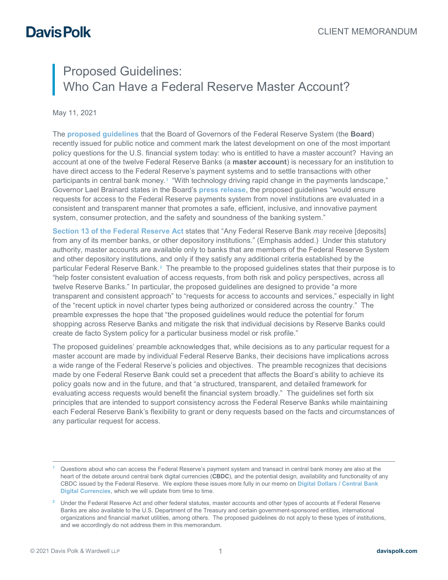## Proposed Guidelines: Who Can Have a Federal Reserve Master Account?

May 11, 2021

The **[proposed guidelines](https://www.federalreserve.gov/newsevents/pressreleases/files/bcreg20210505a1.pdf)** that the Board of Governors of the Federal Reserve System (the **Board**) recently issued for public notice and comment mark the latest development on one of the most important policy questions for the U.S. financial system today: who is entitled to have a master account? Having an account at one of the twelve Federal Reserve Banks (a **master account**) is necessary for an institution to have direct access to the Federal Reserve's payment systems and to settle transactions with other participants in central bank money.[1](#page-0-0) "With technology driving rapid change in the payments landscape," Governor Lael Brainard states in the Board's **[press release](https://www.federalreserve.gov/newsevents/pressreleases/bcreg20210505a.htm)**, the proposed guidelines "would ensure requests for access to the Federal Reserve payments system from novel institutions are evaluated in a consistent and transparent manner that promotes a safe, efficient, inclusive, and innovative payment system, consumer protection, and the safety and soundness of the banking system."

**[Section 13 of the Federal Reserve Act](https://www.federalreserve.gov/aboutthefed/section13.htm)** states that "Any Federal Reserve Bank *may* receive [deposits] from any of its member banks, or other depository institutions." (Emphasis added.) Under this statutory authority, master accounts are available only to banks that are members of the Federal Reserve System and other depository institutions, and only if they satisfy any additional criteria established by the particular Federal Reserve Bank. $^2$  $^2$  The preamble to the proposed guidelines states that their purpose is to "help foster consistent evaluation of access requests, from both risk and policy perspectives, across all twelve Reserve Banks." In particular, the proposed guidelines are designed to provide "a more transparent and consistent approach" to "requests for access to accounts and services," especially in light of the "recent uptick in novel charter types being authorized or considered across the country." The preamble expresses the hope that "the proposed guidelines would reduce the potential for forum shopping across Reserve Banks and mitigate the risk that individual decisions by Reserve Banks could create de facto System policy for a particular business model or risk profile."

The proposed guidelines' preamble acknowledges that, while decisions as to any particular request for a master account are made by individual Federal Reserve Banks, their decisions have implications across a wide range of the Federal Reserve's policies and objectives. The preamble recognizes that decisions made by one Federal Reserve Bank could set a precedent that affects the Board's ability to achieve its policy goals now and in the future, and that "a structured, transparent, and detailed framework for evaluating access requests would benefit the financial system broadly." The guidelines set forth six principles that are intended to support consistency across the Federal Reserve Banks while maintaining each Federal Reserve Bank's flexibility to grant or deny requests based on the facts and circumstances of any particular request for access.

<span id="page-0-0"></span>Questions about who can access the Federal Reserve's payment system and transact in central bank money are also at the heart of the debate around central bank digital currencies (**CBDC**), and the potential design, availability and functionality of any CBDC issued by the Federal Reserve. We explore these issues more fully in our memo on **[Digital Dollars / Central Bank](https://alerts.davispolk.com/10/5625/uploads/digital-dollars-central-bank-digital-currencies.pdf)  [Digital Currencies](https://alerts.davispolk.com/10/5625/uploads/digital-dollars-central-bank-digital-currencies.pdf)**, which we will update from time to time.

<span id="page-0-1"></span><sup>&</sup>lt;sup>2</sup> Under the Federal Reserve Act and other federal statutes, master accounts and other types of accounts at Federal Reserve Banks are also available to the U.S. Department of the Treasury and certain government-sponsored entities, international organizations and financial market utilities, among others. The proposed guidelines do not apply to these types of institutions, and we accordingly do not address them in this memorandum.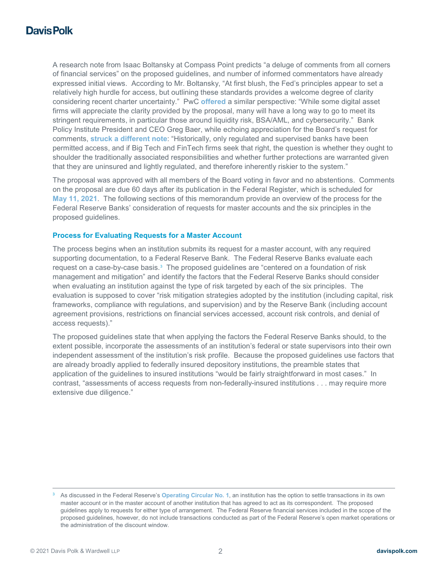A research note from Isaac Boltansky at Compass Point predicts "a deluge of comments from all corners of financial services" on the proposed guidelines, and number of informed commentators have already expressed initial views. According to Mr. Boltansky, "At first blush, the Fed's principles appear to set a relatively high hurdle for access, but outlining these standards provides a welcome degree of clarity considering recent charter uncertainty." PwC **[offered](https://www.pwc.com/us/en/industries/financial-services/library/pdf/pwc-finreg-our-take-may-07-2021.pdf)** a similar perspective: "While some digital asset firms will appreciate the clarity provided by the proposal, many will have a long way to go to meet its stringent requirements, in particular those around liquidity risk, BSA/AML, and cybersecurity." Bank Policy Institute President and CEO Greg Baer, while echoing appreciation for the Board's request for comments, **[struck a different note](https://bpi.com/bpi-responds-to-federal-reserve-proposed-guidelines-on-fed-accounts-and-access-to-the-payment-system/)**: "Historically, only regulated and supervised banks have been permitted access, and if Big Tech and FinTech firms seek that right, the question is whether they ought to shoulder the traditionally associated responsibilities and whether further protections are warranted given that they are uninsured and lightly regulated, and therefore inherently riskier to the system."

The proposal was approved with all members of the Board voting in favor and no abstentions. Comments on the proposal are due 60 days after its publication in the Federal Register, which is scheduled for **May [11, 2021](https://www.federalregister.gov/d/2021-09873)**. The following sections of this memorandum provide an overview of the process for the Federal Reserve Banks' consideration of requests for master accounts and the six principles in the proposed guidelines.

#### **Process for Evaluating Requests for a Master Account**

The process begins when an institution submits its request for a master account, with any required supporting documentation, to a Federal Reserve Bank. The Federal Reserve Banks evaluate each request on a case-by-case basis.<sup>[3](#page-1-0)</sup> The proposed guidelines are "centered on a foundation of risk management and mitigation" and identify the factors that the Federal Reserve Banks should consider when evaluating an institution against the type of risk targeted by each of the six principles. The evaluation is supposed to cover "risk mitigation strategies adopted by the institution (including capital, risk frameworks, compliance with regulations, and supervision) and by the Reserve Bank (including account agreement provisions, restrictions on financial services accessed, account risk controls, and denial of access requests)."

The proposed guidelines state that when applying the factors the Federal Reserve Banks should, to the extent possible, incorporate the assessments of an institution's federal or state supervisors into their own independent assessment of the institution's risk profile. Because the proposed guidelines use factors that are already broadly applied to federally insured depository institutions, the preamble states that application of the guidelines to insured institutions "would be fairly straightforward in most cases." In contrast, "assessments of access requests from non-federally-insured institutions . . . may require more extensive due diligence."

<span id="page-1-0"></span> <sup>3</sup> As discussed in the Federal Reserve's **[Operating Circular No. 1](https://www.frbservices.org/assets/resources/rules-regulations/020113-operating-circular-1.pdf)**, an institution has the option to settle transactions in its own master account or in the master account of another institution that has agreed to act as its correspondent. The proposed guidelines apply to requests for either type of arrangement. The Federal Reserve financial services included in the scope of the proposed guidelines, however, do not include transactions conducted as part of the Federal Reserve's open market operations or the administration of the discount window.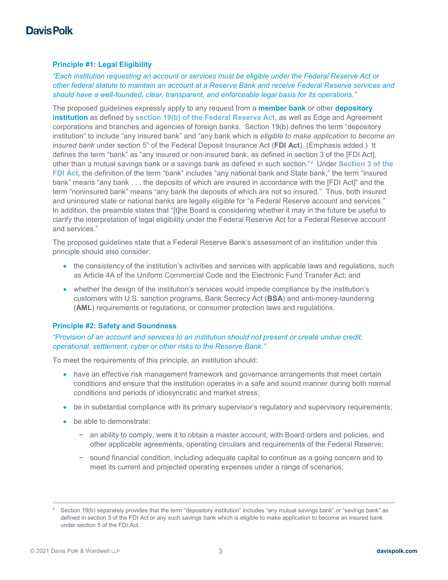### **Principle #1: Legal Eligibility**

*"Each institution requesting an account or services must be eligible under the Federal Reserve Act or other federal statute to maintain an account at a Reserve Bank and receive Federal Reserve services and should have a well-founded, clear, transparent, and enforceable legal basis for its operations."*

The proposed guidelines expressly apply to any request from a **member bank** or other **depository institution** as defined by **[section 19\(b\) of the Federal Reserve Act](https://www.federalreserve.gov/aboutthefed/section19.htm)**, as well as Edge and Agreement corporations and branches and agencies of foreign banks. Section 19(b) defines the term "depository institution" to include "any insured bank" and "any bank which is *eligible to make application to become an insured bank* under section 5" of the Federal Deposit Insurance Act (**FDI Act**). (Emphasis added.) It defines the term "bank" as "any insured or non-insured bank, as defined in section 3 of the [FDI Act], other than a mutual savings bank or a savings bank as defined in such section." [4](#page-2-0) Under **[Section 3 of the](https://www.fdic.gov/regulations/laws/rules/1000-400.html#fdic1000sec.3a)  [FDI Act](https://www.fdic.gov/regulations/laws/rules/1000-400.html#fdic1000sec.3a)**, the definition of the term "bank" includes "any national bank and State bank," the term "insured bank" means "any bank . . . the deposits of which are insured in accordance with the [FDI Act]" and the term "noninsured bank" means "any bank the deposits of which are not so insured." Thus, both insured and uninsured state or national banks are legally eligible for "a Federal Reserve account and services." In addition, the preamble states that "[t]he Board is considering whether it may in the future be useful to clarify the interpretation of legal eligibility under the Federal Reserve Act for a Federal Reserve account and services."

The proposed guidelines state that a Federal Reserve Bank's assessment of an institution under this principle should also consider:

- the consistency of the institution's activities and services with applicable laws and regulations, such as Article 4A of the Uniform Commercial Code and the Electronic Fund Transfer Act; and
- whether the design of the institution's services would impede compliance by the institution's customers with U.S. sanction programs, Bank Secrecy Act (**BSA**) and anti-money-laundering (**AML**) requirements or regulations, or consumer protection laws and regulations.

#### **Principle #2: Safety and Soundness**

### *"Provision of an account and services to an institution should not present or create undue credit, operational, settlement, cyber or other risks to the Reserve Bank."*

To meet the requirements of this principle, an institution should:

- have an effective risk management framework and governance arrangements that meet certain conditions and ensure that the institution operates in a safe and sound manner during both normal conditions and periods of idiosyncratic and market stress;
- be in substantial compliance with its primary supervisor's regulatory and supervisory requirements;
- be able to demonstrate:
	- − an ability to comply, were it to obtain a master account, with Board orders and policies, and other applicable agreements, operating circulars and requirements of the Federal Reserve;
	- − sound financial condition, including adequate capital to continue as a going concern and to meet its current and projected operating expenses under a range of scenarios;

<span id="page-2-0"></span>Section 19(b) separately provides that the term "depository institution" includes "any mutual savings bank" or "savings bank" as defined in section 3 of the FDI Act or any such savings bank which is eligible to make application to become an insured bank under section 5 of the FDI Act.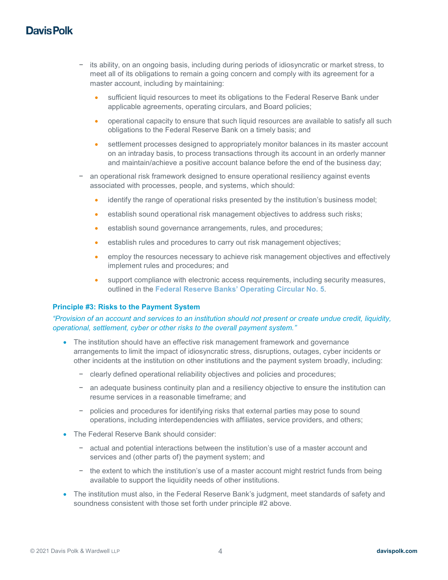- − its ability, on an ongoing basis, including during periods of idiosyncratic or market stress, to meet all of its obligations to remain a going concern and comply with its agreement for a master account, including by maintaining:
	- sufficient liquid resources to meet its obligations to the Federal Reserve Bank under applicable agreements, operating circulars, and Board policies;
	- operational capacity to ensure that such liquid resources are available to satisfy all such obligations to the Federal Reserve Bank on a timely basis; and
	- settlement processes designed to appropriately monitor balances in its master account on an intraday basis, to process transactions through its account in an orderly manner and maintain/achieve a positive account balance before the end of the business day;
- an operational risk framework designed to ensure operational resiliency against events associated with processes, people, and systems, which should:
	- identify the range of operational risks presented by the institution's business model;
	- establish sound operational risk management objectives to address such risks;
	- establish sound governance arrangements, rules, and procedures;
	- establish rules and procedures to carry out risk management objectives;
	- employ the resources necessary to achieve risk management objectives and effectively implement rules and procedures; and
	- support compliance with electronic access requirements, including security measures, outlined in the **Federal [Reserve Banks' Operating Circular No. 5](https://www.frbservices.org/assets/resources/rules-regulations/101520-operating-circular-5.pdf)**.

#### **Principle #3: Risks to the Payment System**

#### *"Provision of an account and services to an institution should not present or create undue credit, liquidity, operational, settlement, cyber or other risks to the overall payment system."*

- The institution should have an effective risk management framework and governance arrangements to limit the impact of idiosyncratic stress, disruptions, outages, cyber incidents or other incidents at the institution on other institutions and the payment system broadly, including:
	- − clearly defined operational reliability objectives and policies and procedures;
	- − an adequate business continuity plan and a resiliency objective to ensure the institution can resume services in a reasonable timeframe; and
	- − policies and procedures for identifying risks that external parties may pose to sound operations, including interdependencies with affiliates, service providers, and others;
- The Federal Reserve Bank should consider:
	- − actual and potential interactions between the institution's use of a master account and services and (other parts of) the payment system; and
	- − the extent to which the institution's use of a master account might restrict funds from being available to support the liquidity needs of other institutions.
- The institution must also, in the Federal Reserve Bank's judgment, meet standards of safety and soundness consistent with those set forth under principle #2 above.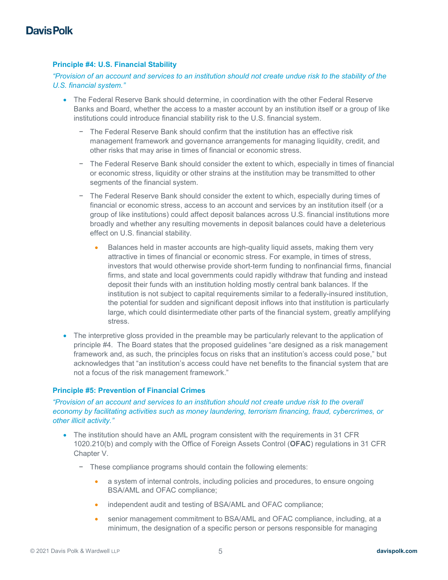### **Principle #4: U.S. Financial Stability**

*"Provision of an account and services to an institution should not create undue risk to the stability of the U.S. financial system."*

- The Federal Reserve Bank should determine, in coordination with the other Federal Reserve Banks and Board, whether the access to a master account by an institution itself or a group of like institutions could introduce financial stability risk to the U.S. financial system.
	- − The Federal Reserve Bank should confirm that the institution has an effective risk management framework and governance arrangements for managing liquidity, credit, and other risks that may arise in times of financial or economic stress.
	- − The Federal Reserve Bank should consider the extent to which, especially in times of financial or economic stress, liquidity or other strains at the institution may be transmitted to other segments of the financial system.
	- − The Federal Reserve Bank should consider the extent to which, especially during times of financial or economic stress, access to an account and services by an institution itself (or a group of like institutions) could affect deposit balances across U.S. financial institutions more broadly and whether any resulting movements in deposit balances could have a deleterious effect on U.S. financial stability.
		- Balances held in master accounts are high-quality liquid assets, making them very attractive in times of financial or economic stress. For example, in times of stress, investors that would otherwise provide short-term funding to nonfinancial firms, financial firms, and state and local governments could rapidly withdraw that funding and instead deposit their funds with an institution holding mostly central bank balances. If the institution is not subject to capital requirements similar to a federally-insured institution, the potential for sudden and significant deposit inflows into that institution is particularly large, which could disintermediate other parts of the financial system, greatly amplifying stress.
- The interpretive gloss provided in the preamble may be particularly relevant to the application of principle #4. The Board states that the proposed guidelines "are designed as a risk management framework and, as such, the principles focus on risks that an institution's access could pose," but acknowledges that "an institution's access could have net benefits to the financial system that are not a focus of the risk management framework."

#### **Principle #5: Prevention of Financial Crimes**

*"Provision of an account and services to an institution should not create undue risk to the overall economy by facilitating activities such as money laundering, terrorism financing, fraud, cybercrimes, or other illicit activity."*

- The institution should have an AML program consistent with the requirements in 31 CFR 1020.210(b) and comply with the Office of Foreign Assets Control (**OFAC**) regulations in 31 CFR Chapter V.
	- − These compliance programs should contain the following elements:
		- a system of internal controls, including policies and procedures, to ensure ongoing BSA/AML and OFAC compliance;
		- independent audit and testing of BSA/AML and OFAC compliance;
		- senior management commitment to BSA/AML and OFAC compliance, including, at a minimum, the designation of a specific person or persons responsible for managing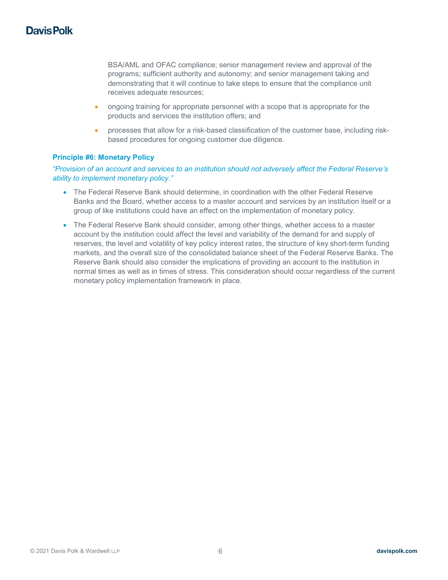BSA/AML and OFAC compliance; senior management review and approval of the programs; sufficient authority and autonomy; and senior management taking and demonstrating that it will continue to take steps to ensure that the compliance unit receives adequate resources;

- ongoing training for appropriate personnel with a scope that is appropriate for the products and services the institution offers; and
- processes that allow for a risk-based classification of the customer base, including riskbased procedures for ongoing customer due diligence.

### **Principle #6: Monetary Policy**

*"Provision of an account and services to an institution should not adversely affect the Federal Reserve's ability to implement monetary policy."*

- The Federal Reserve Bank should determine, in coordination with the other Federal Reserve Banks and the Board, whether access to a master account and services by an institution itself or a group of like institutions could have an effect on the implementation of monetary policy.
- The Federal Reserve Bank should consider, among other things, whether access to a master account by the institution could affect the level and variability of the demand for and supply of reserves, the level and volatility of key policy interest rates, the structure of key short-term funding markets, and the overall size of the consolidated balance sheet of the Federal Reserve Banks. The Reserve Bank should also consider the implications of providing an account to the institution in normal times as well as in times of stress. This consideration should occur regardless of the current monetary policy implementation framework in place.